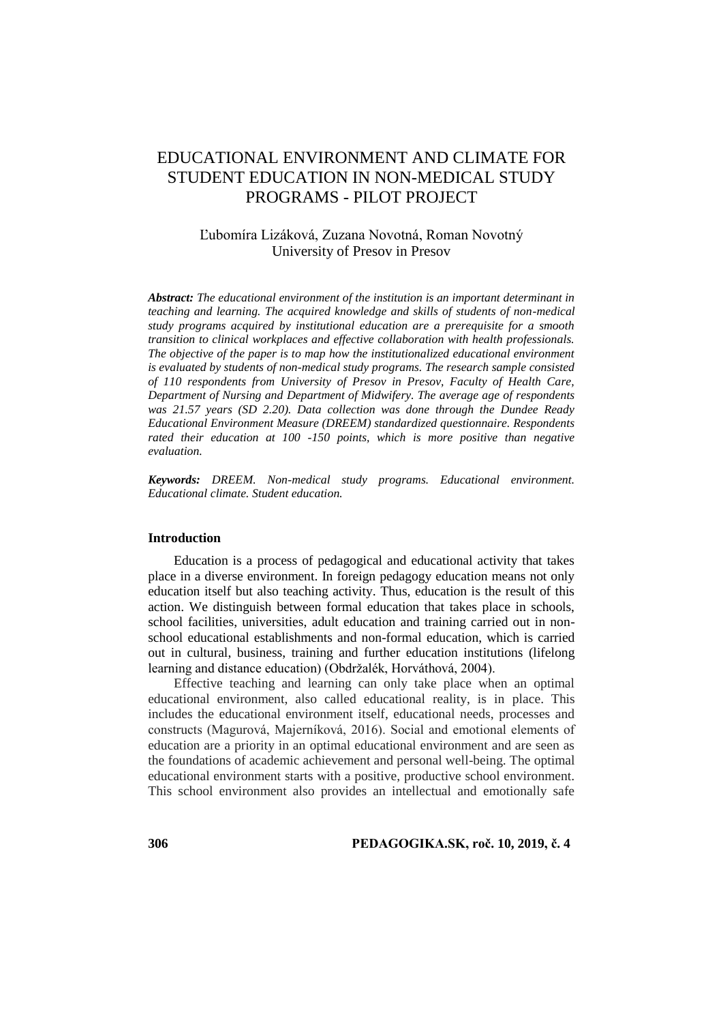# EDUCATIONAL ENVIRONMENT AND CLIMATE FOR STUDENT EDUCATION IN NON-MEDICAL STUDY PROGRAMS - PILOT PROJECT

## Ľubomíra Lizáková, Zuzana Novotná, Roman Novotný University of Presov in Presov

*Abstract: The educational environment of the institution is an important determinant in teaching and learning. The acquired knowledge and skills of students of non-medical study programs acquired by institutional education are a prerequisite for a smooth transition to clinical workplaces and effective collaboration with health professionals. The objective of the paper is to map how the institutionalized educational environment is evaluated by students of non-medical study programs. The research sample consisted of 110 respondents from University of Presov in Presov, Faculty of Health Care, Department of Nursing and Department of Midwifery. The average age of respondents was 21.57 years (SD 2.20). Data collection was done through the Dundee Ready Educational Environment Measure (DREEM) standardized questionnaire. Respondents rated their education at 100 -150 points, which is more positive than negative evaluation.*

*Keywords: DREEM. Non-medical study programs. Educational environment. Educational climate. Student education.*

#### **Introduction**

Education is a process of pedagogical and educational activity that takes place in a diverse environment. In foreign pedagogy education means not only education itself but also teaching activity. Thus, education is the result of this action. We distinguish between formal education that takes place in schools, school facilities, universities, adult education and training carried out in nonschool educational establishments and non-formal education, which is carried out in cultural, business, training and further education institutions (lifelong learning and distance education) (Obdržalék, Horváthová, 2004).

Effective teaching and learning can only take place when an optimal educational environment, also called educational reality, is in place. This includes the educational environment itself, educational needs, processes and constructs (Magurová, Majerníková, 2016). Social and emotional elements of education are a priority in an optimal educational environment and are seen as the foundations of academic achievement and personal well-being. The optimal educational environment starts with a positive, productive school environment. This school environment also provides an intellectual and emotionally safe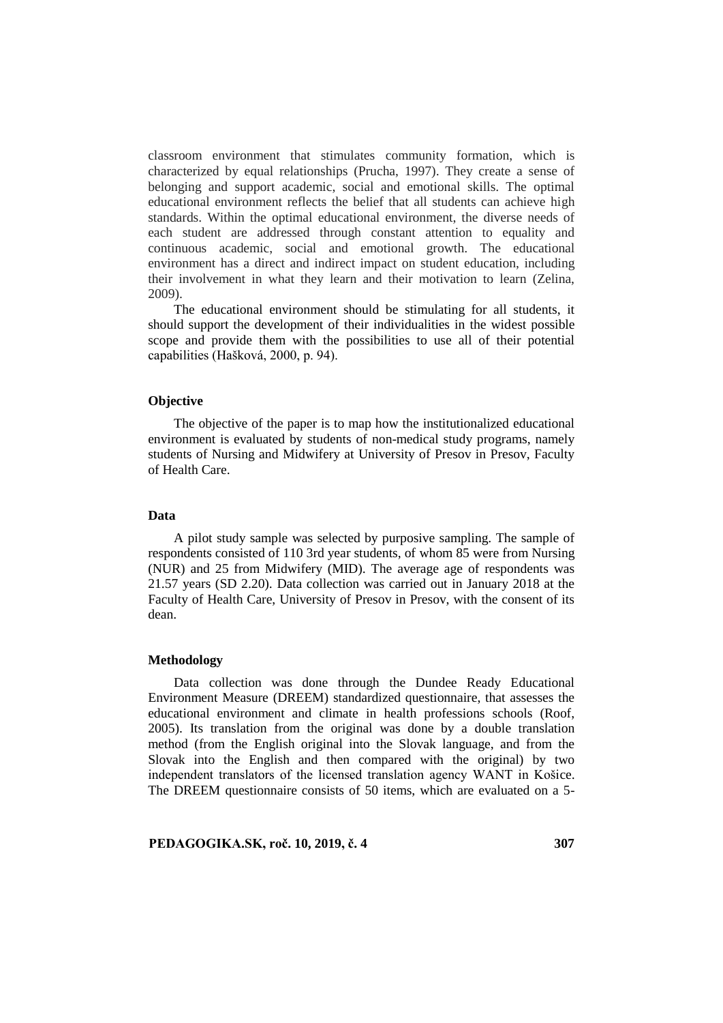classroom environment that stimulates community formation, which is characterized by equal relationships (Prucha, 1997). They create a sense of belonging and support academic, social and emotional skills. The optimal educational environment reflects the belief that all students can achieve high standards. Within the optimal educational environment, the diverse needs of each student are addressed through constant attention to equality and continuous academic, social and emotional growth. The educational environment has a direct and indirect impact on student education, including their involvement in what they learn and their motivation to learn (Zelina, 2009).

The educational environment should be stimulating for all students, it should support the development of their individualities in the widest possible scope and provide them with the possibilities to use all of their potential capabilities (Hašková, 2000, p. 94).

#### **Objective**

The objective of the paper is to map how the institutionalized educational environment is evaluated by students of non-medical study programs, namely students of Nursing and Midwifery at University of Presov in Presov, Faculty of Health Care.

### **Data**

A pilot study sample was selected by purposive sampling. The sample of respondents consisted of 110 3rd year students, of whom 85 were from Nursing (NUR) and 25 from Midwifery (MID). The average age of respondents was 21.57 years (SD 2.20). Data collection was carried out in January 2018 at the Faculty of Health Care, University of Presov in Presov, with the consent of its dean.

#### **Methodology**

Data collection was done through the Dundee Ready Educational Environment Measure (DREEM) standardized questionnaire, that assesses the educational environment and climate in health professions schools (Roof, 2005). Its translation from the original was done by a double translation method (from the English original into the Slovak language, and from the Slovak into the English and then compared with the original) by two independent translators of the licensed translation agency WANT in Košice. The DREEM questionnaire consists of 50 items, which are evaluated on a 5-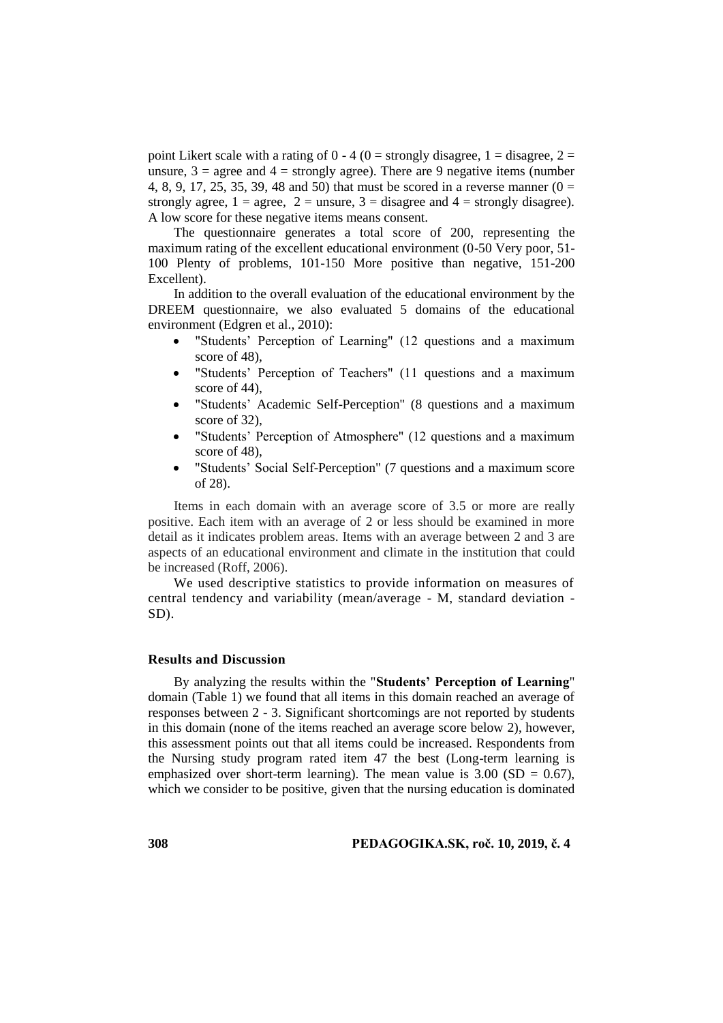point Likert scale with a rating of  $0 - 4$  ( $0 =$  strongly disagree,  $1 =$  disagree,  $2 =$ unsure,  $3 = \text{agree}$  and  $4 = \text{strongly agree}$ ). There are 9 negative items (number 4, 8, 9, 17, 25, 35, 39, 48 and 50) that must be scored in a reverse manner ( $0 =$ strongly agree,  $1 = \text{agree}$ ,  $2 = \text{unsure}$ ,  $3 = \text{disagree}$  and  $4 = \text{strongly disagree}$ ). A low score for these negative items means consent.

The questionnaire generates a total score of 200, representing the maximum rating of the excellent educational environment (0-50 Very poor, 51- 100 Plenty of problems, 101-150 More positive than negative, 151-200 Excellent).

In addition to the overall evaluation of the educational environment by the DREEM questionnaire, we also evaluated 5 domains of the educational environment (Edgren et al., 2010):

- "Students' Perception of Learning" (12 questions and a maximum score of 48),
- "Students' Perception of Teachers" (11 questions and a maximum score of 44),
- "Students' Academic Self-Perception" (8 questions and a maximum score of 32),
- "Students' Perception of Atmosphere" (12 questions and a maximum score of 48),
- "Students' Social Self-Perception" (7 questions and a maximum score of 28).

Items in each domain with an average score of 3.5 or more are really positive. Each item with an average of 2 or less should be examined in more detail as it indicates problem areas. Items with an average between 2 and 3 are aspects of an educational environment and climate in the institution that could be increased (Roff, 2006).

We used descriptive statistics to provide information on measures of central tendency and variability (mean/average - M, standard deviation - SD).

## **Results and Discussion**

By analyzing the results within the "**Students' Perception of Learning**" domain (Table 1) we found that all items in this domain reached an average of responses between 2 - 3. Significant shortcomings are not reported by students in this domain (none of the items reached an average score below 2), however, this assessment points out that all items could be increased. Respondents from the Nursing study program rated item 47 the best (Long-term learning is emphasized over short-term learning). The mean value is  $3.00$  (SD = 0.67), which we consider to be positive, given that the nursing education is dominated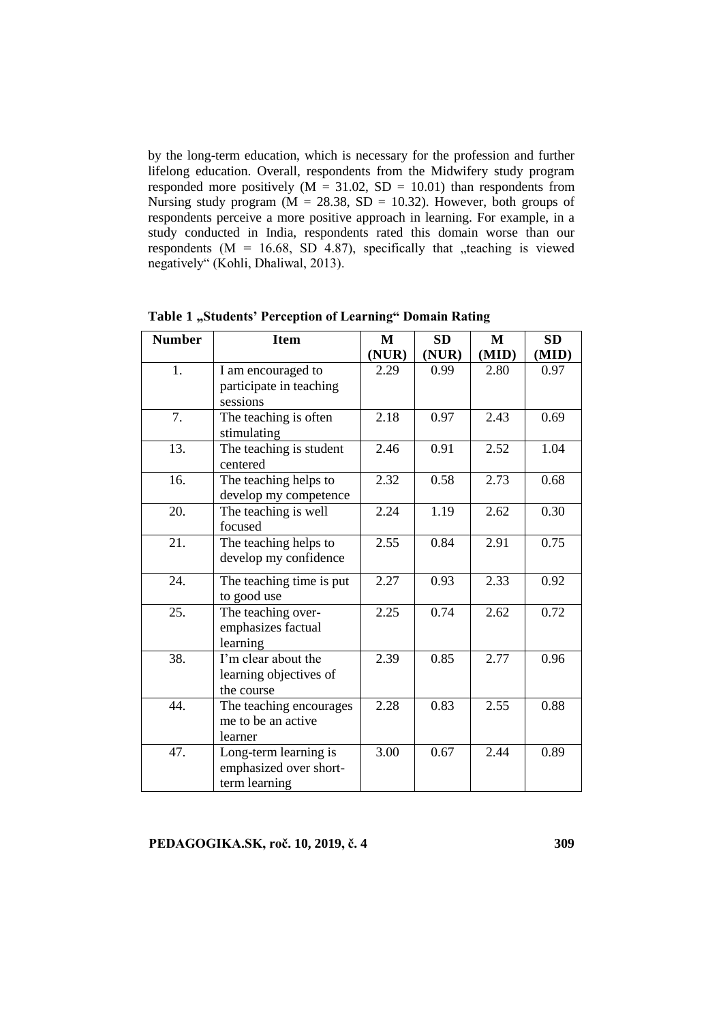by the long-term education, which is necessary for the profession and further lifelong education. Overall, respondents from the Midwifery study program responded more positively ( $M = 31.02$ ,  $SD = 10.01$ ) than respondents from Nursing study program ( $M = 28.38$ , SD = 10.32). However, both groups of respondents perceive a more positive approach in learning. For example, in a study conducted in India, respondents rated this domain worse than our respondents ( $M = 16.68$ , SD 4.87), specifically that "teaching is viewed negatively" (Kohli, Dhaliwal, 2013).

| <b>Number</b> | <b>Item</b>                         | M     | <b>SD</b> | M     | <b>SD</b> |
|---------------|-------------------------------------|-------|-----------|-------|-----------|
|               |                                     | (NUR) | (NUR)     | (MID) | (MID)     |
| 1.            | I am encouraged to                  | 2.29  | 0.99      | 2.80  | 0.97      |
|               | participate in teaching             |       |           |       |           |
|               | sessions                            |       |           |       |           |
| 7.            | The teaching is often               | 2.18  | 0.97      | 2.43  | 0.69      |
|               | stimulating                         |       |           |       |           |
| 13.           | The teaching is student<br>centered | 2.46  | 0.91      | 2.52  | 1.04      |
| 16.           | The teaching helps to               | 2.32  | 0.58      | 2.73  | 0.68      |
|               | develop my competence               |       |           |       |           |
| 20.           | The teaching is well                | 2.24  | 1.19      | 2.62  | 0.30      |
|               | focused                             |       |           |       |           |
| 21.           | The teaching helps to               | 2.55  | 0.84      | 2.91  | 0.75      |
|               | develop my confidence               |       |           |       |           |
| 24.           | The teaching time is put            | 2.27  | 0.93      | 2.33  | 0.92      |
|               | to good use                         |       |           |       |           |
| 25.           | The teaching over-                  | 2.25  | 0.74      | 2.62  | 0.72      |
|               | emphasizes factual                  |       |           |       |           |
|               | learning                            |       |           |       |           |
| 38.           | I'm clear about the                 | 2.39  | 0.85      | 2.77  | 0.96      |
|               | learning objectives of              |       |           |       |           |
|               | the course                          |       |           |       |           |
| 44.           | The teaching encourages             | 2.28  | 0.83      | 2.55  | 0.88      |
|               | me to be an active                  |       |           |       |           |
|               | learner                             |       |           |       |           |
| 47.           | Long-term learning is               | 3.00  | 0.67      | 2.44  | 0.89      |
|               | emphasized over short-              |       |           |       |           |
|               | term learning                       |       |           |       |           |

**Table 1 "Students' Perception of Learning" Domain Rating**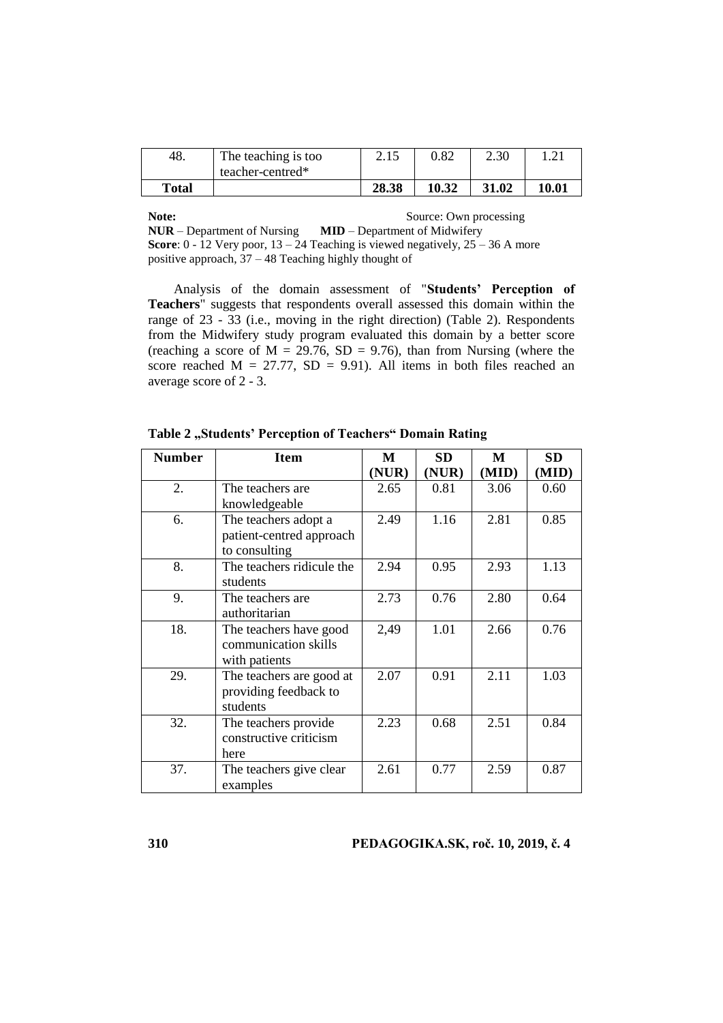| Total |                     | 28.38 | 10.32      | 31.02 | 10.01 |
|-------|---------------------|-------|------------|-------|-------|
|       | teacher-centred*    |       |            |       |       |
| 48.   | The teaching is too | 2.15  | $\rm 0.82$ | 2.30  | 1.41  |

**Note:** Source: Own processing<br>**NUR** – Department of Nursing **MID** – Department of Midwifery **NUR** – Department of Nursing **Score**:  $0 - 12$  Very poor,  $13 - 24$  Teaching is viewed negatively,  $25 - 36$  A more positive approach, 37 – 48 Teaching highly thought of

Analysis of the domain assessment of "**Students' Perception of Teachers**" suggests that respondents overall assessed this domain within the range of 23 - 33 (i.e., moving in the right direction) (Table 2). Respondents from the Midwifery study program evaluated this domain by a better score (reaching a score of  $M = 29.76$ ,  $SD = 9.76$ ), than from Nursing (where the score reached  $M = 27.77$ ,  $SD = 9.91$ ). All items in both files reached an average score of 2 - 3.

| <b>Number</b> | <b>Item</b>               | M     | <b>SD</b> | M     | SD    |
|---------------|---------------------------|-------|-----------|-------|-------|
|               |                           | (NUR) | (NUR)     | (MID) | (MID) |
| 2.            | The teachers are.         | 2.65  | 0.81      | 3.06  | 0.60  |
|               | knowledgeable             |       |           |       |       |
| 6.            | The teachers adopt a      | 2.49  | 1.16      | 2.81  | 0.85  |
|               | patient-centred approach  |       |           |       |       |
|               | to consulting             |       |           |       |       |
| 8.            | The teachers ridicule the | 2.94  | 0.95      | 2.93  | 1.13  |
|               | students                  |       |           |       |       |
| 9.            | The teachers are.         | 2.73  | 0.76      | 2.80  | 0.64  |
|               | authoritarian             |       |           |       |       |
| 18.           | The teachers have good    | 2,49  | 1.01      | 2.66  | 0.76  |
|               | communication skills      |       |           |       |       |
|               | with patients             |       |           |       |       |
| 29.           | The teachers are good at  | 2.07  | 0.91      | 2.11  | 1.03  |
|               | providing feedback to     |       |           |       |       |
|               | students                  |       |           |       |       |
| 32.           | The teachers provide      | 2.23  | 0.68      | 2.51  | 0.84  |
|               | constructive criticism    |       |           |       |       |
|               | here                      |       |           |       |       |
| 37.           | The teachers give clear   | 2.61  | 0.77      | 2.59  | 0.87  |
|               | examples                  |       |           |       |       |

Table 2 "Students' Perception of Teachers" Domain Rating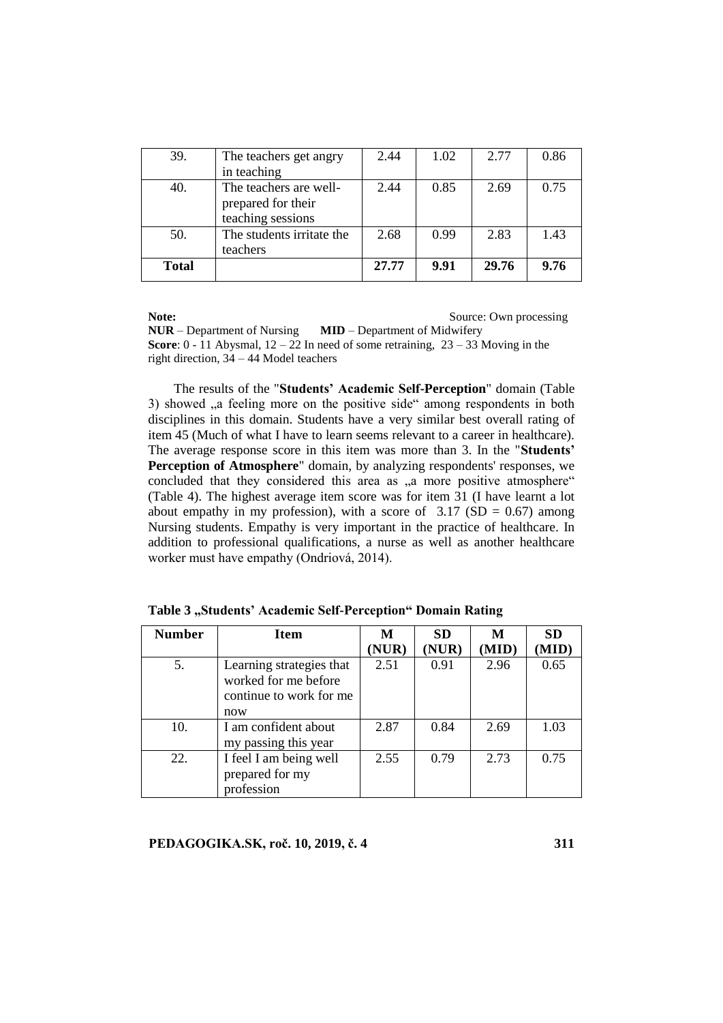| 39.          | The teachers get angry<br>in teaching                             | 2.44  | 1.02 | 2.77  | 0.86 |
|--------------|-------------------------------------------------------------------|-------|------|-------|------|
| 40.          | The teachers are well-<br>prepared for their<br>teaching sessions | 2.44  | 0.85 | 2.69  | 0.75 |
| 50.          | The students irritate the<br>teachers                             | 2.68  | 0.99 | 2.83  | 1.43 |
| <b>Total</b> |                                                                   | 27.77 | 9.91 | 29.76 | 9.76 |

**Note:** Source: Own processing

**NUR** – Department of Nursing **MID** – Department of Midwifery **Score**: 0 - 11 Abysmal, 12 – 22 In need of some retraining, 23 – 33 Moving in the right direction, 34 – 44 Model teachers

The results of the "**Students' Academic Self-Perception**" domain (Table 3) showed , a feeling more on the positive side " among respondents in both disciplines in this domain. Students have a very similar best overall rating of item 45 (Much of what I have to learn seems relevant to a career in healthcare). The average response score in this item was more than 3. In the "**Students'**  Perception of Atmosphere" domain, by analyzing respondents' responses, we concluded that they considered this area as "a more positive atmosphere" (Table 4). The highest average item score was for item 31 (I have learnt a lot about empathy in my profession), with a score of  $3.17$  (SD = 0.67) among Nursing students. Empathy is very important in the practice of healthcare. In addition to professional qualifications, a nurse as well as another healthcare worker must have empathy (Ondriová, 2014).

| <b>Number</b> | <b>Item</b>                                                                        | M     | <b>SD</b> | М     | <b>SD</b> |
|---------------|------------------------------------------------------------------------------------|-------|-----------|-------|-----------|
|               |                                                                                    | (NUR) | (NUR)     | (MID) | (MID)     |
| 5.            | Learning strategies that<br>worked for me before<br>continue to work for me<br>now | 2.51  | 0.91      | 2.96  | 0.65      |
| 10.           | I am confident about<br>my passing this year                                       | 2.87  | 0.84      | 2.69  | 1.03      |
| 22.           | I feel I am being well<br>prepared for my<br>profession                            | 2.55  | 0.79      | 2.73  | 0.75      |

Table 3 "Students' Academic Self-Perception" Domain Rating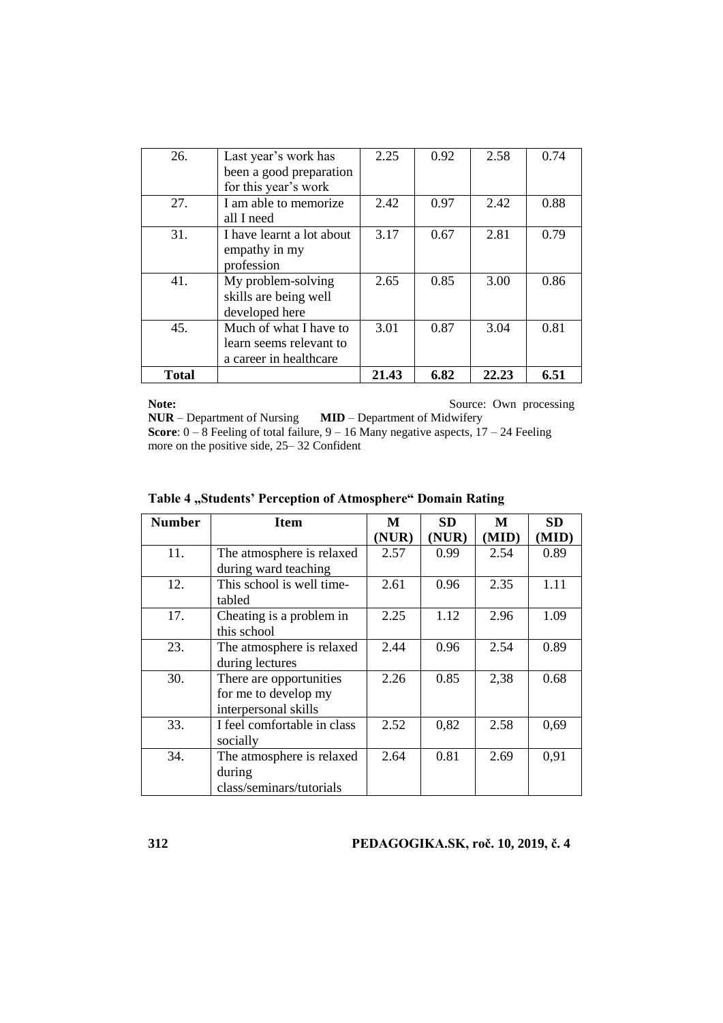| 26.          | Last year's work has<br>been a good preparation<br>for this year's work     | 2.25  | 0.92 | 2.58  | 0.74 |
|--------------|-----------------------------------------------------------------------------|-------|------|-------|------|
| 27.          | I am able to memorize<br>all I need                                         | 2.42  | 0.97 | 2.42  | 0.88 |
| 31.          | I have learnt a lot about<br>empathy in my<br>profession                    | 3.17  | 0.67 | 2.81  | 0.79 |
| 41.          | My problem-solving<br>skills are being well<br>developed here               | 2.65  | 0.85 | 3.00  | 0.86 |
| 45.          | Much of what I have to<br>learn seems relevant to<br>a career in healthcare | 3.01  | 0.87 | 3.04  | 0.81 |
| <b>Total</b> |                                                                             | 21.43 | 6.82 | 22.23 | 6.51 |

**Note:** Source: Own processing **NUR** – Department of Nursing **MID** – Department of Midwifery **Score**: 0 – 8 Feeling of total failure, 9 – 16 Many negative aspects, 17 – 24 Feeling more on the positive side, 25– 32 Confident

| <b>Number</b> | <b>Item</b>                 | M     | SD    | M     | <b>SD</b> |
|---------------|-----------------------------|-------|-------|-------|-----------|
|               |                             | (NUR) | (NUR) | (MID) | (MID)     |
| 11.           | The atmosphere is relaxed   | 2.57  | 0.99  | 2.54  | 0.89      |
|               | during ward teaching        |       |       |       |           |
| 12.           | This school is well time-   | 2.61  | 0.96  | 2.35  | 1.11      |
|               | tabled                      |       |       |       |           |
| 17.           | Cheating is a problem in    | 2.25  | 1.12  | 2.96  | 1.09      |
|               | this school                 |       |       |       |           |
| 23.           | The atmosphere is relaxed   | 2.44  | 0.96  | 2.54  | 0.89      |
|               | during lectures             |       |       |       |           |
| 30.           | There are opportunities     | 2.26  | 0.85  | 2,38  | 0.68      |
|               | for me to develop my        |       |       |       |           |
|               | interpersonal skills        |       |       |       |           |
| 33.           | I feel comfortable in class | 2.52  | 0,82  | 2.58  | 0,69      |
|               | socially                    |       |       |       |           |
| 34.           | The atmosphere is relaxed   | 2.64  | 0.81  | 2.69  | 0.91      |
|               | during                      |       |       |       |           |
|               | class/seminars/tutorials    |       |       |       |           |

## Table 4 "Students' Perception of Atmosphere" Domain Rating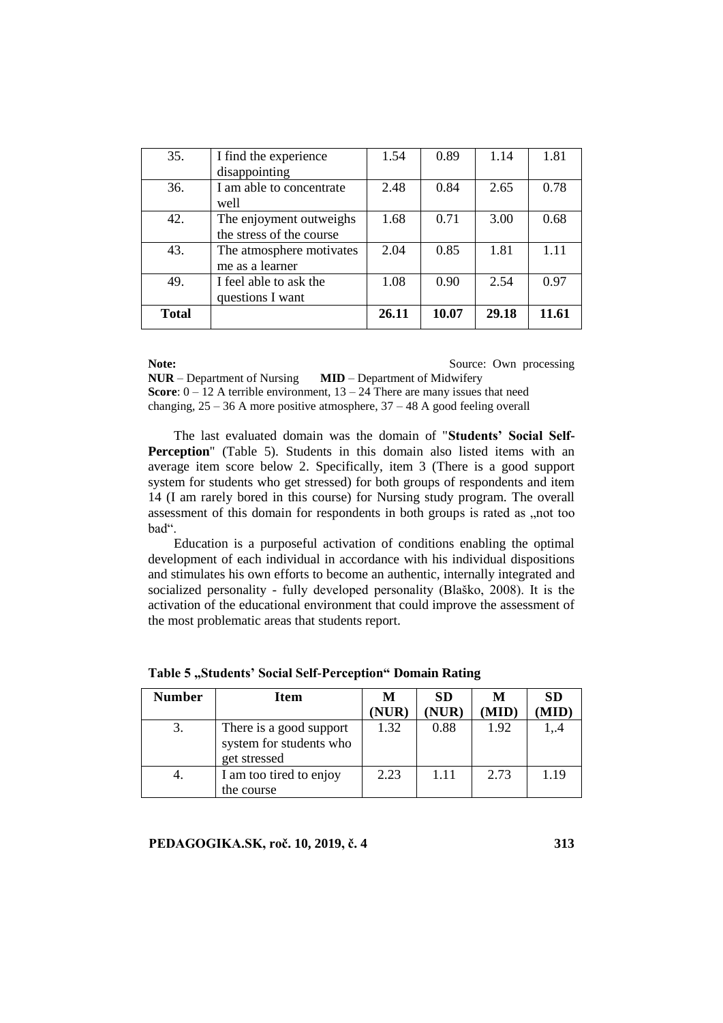| 35.          | I find the experience<br>disappointing              | 1.54  | 0.89  | 1.14  | 1.81  |
|--------------|-----------------------------------------------------|-------|-------|-------|-------|
| 36.          | I am able to concentrate<br>well                    | 2.48  | 0.84  | 2.65  | 0.78  |
| 42.          | The enjoyment outweighs<br>the stress of the course | 1.68  | 0.71  | 3.00  | 0.68  |
| 43.          | The atmosphere motivates<br>me as a learner         | 2.04  | 0.85  | 1.81  | 111   |
| 49.          | I feel able to ask the<br>questions I want          | 1.08  | 0.90  | 2.54  | 0.97  |
| <b>Total</b> |                                                     | 26.11 | 10.07 | 29.18 | 11.61 |

**Note:** Source: Own processing **NUR** – Department of Nursing **MID** – Department of Midwifery **Score**:  $0 - 12$  A terrible environment,  $13 - 24$  There are many issues that need changing,  $25 - 36$  A more positive atmosphere,  $37 - 48$  A good feeling overall

The last evaluated domain was the domain of "**Students' Social Self-Perception**" (Table 5). Students in this domain also listed items with an average item score below 2. Specifically, item 3 (There is a good support system for students who get stressed) for both groups of respondents and item 14 (I am rarely bored in this course) for Nursing study program. The overall assessment of this domain for respondents in both groups is rated as , not too bad".

Education is a purposeful activation of conditions enabling the optimal development of each individual in accordance with his individual dispositions and stimulates his own efforts to become an authentic, internally integrated and socialized personality - fully developed personality (Blaško, 2008). It is the activation of the educational environment that could improve the assessment of the most problematic areas that students report.

| <b>Number</b> | <b>Item</b>                                                        | M    | <b>SD</b> | M     | <b>SD</b> |
|---------------|--------------------------------------------------------------------|------|-----------|-------|-----------|
|               |                                                                    | NUR) | (NUR)     | (MID) | 'MID)     |
| 3.            | There is a good support<br>system for students who<br>get stressed | 1.32 | 0.88      | 1.92  | 14        |
| 4.            | I am too tired to enjoy<br>the course                              | 2.23 | 1.11      | 2.73  | 1.19      |

Table 5 "Students' Social Self-Perception" Domain Rating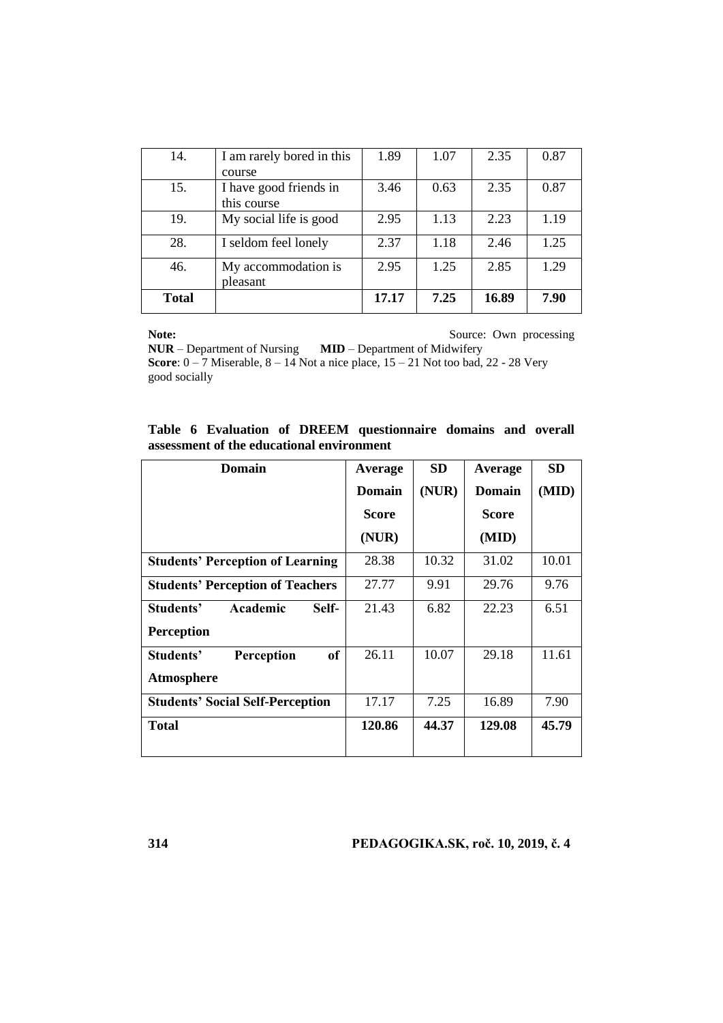| 14.          | I am rarely bored in this             | 1.89  | 1.07 | 2.35  | 0.87 |
|--------------|---------------------------------------|-------|------|-------|------|
|              | course                                |       |      |       |      |
| 15.          | I have good friends in<br>this course | 3.46  | 0.63 | 2.35  | 0.87 |
|              |                                       |       |      |       |      |
| 19.          | My social life is good                | 2.95  | 1.13 | 2.23  | 1.19 |
| 28.          | I seldom feel lonely                  | 2.37  | 1.18 | 2.46  | 1.25 |
| 46.          | My accommodation is<br>pleasant       | 2.95  | 1.25 | 2.85  | 1.29 |
| <b>Total</b> |                                       | 17.17 | 7.25 | 16.89 | 7.90 |

**Note:** Source: Own processing

**NUR** – Department of Nursing **MID** – Department of Midwifery **Score**: 0 – 7 Miserable, 8 – 14 Not a nice place, 15 – 21 Not too bad, 22 - 28 Very good socially

**Table 6 Evaluation of DREEM questionnaire domains and overall assessment of the educational environment** 

| <b>Domain</b>                           | Average       | <b>SD</b> | Average | <b>SD</b> |
|-----------------------------------------|---------------|-----------|---------|-----------|
|                                         | <b>Domain</b> | (NUR)     | Domain  | (MID)     |
|                                         | <b>Score</b>  |           | Score   |           |
|                                         | (NUR)         |           | (MID)   |           |
| <b>Students' Perception of Learning</b> | 28.38         | 10.32     | 31.02   | 10.01     |
| <b>Students' Perception of Teachers</b> | 27.77         | 9.91      | 29.76   | 9.76      |
| Students'<br>Academic<br>Self-          | 21.43         | 6.82      | 22.23   | 6.51      |
| <b>Perception</b>                       |               |           |         |           |
| Students'<br>Perception<br>of           | 26.11         | 10.07     | 29.18   | 11.61     |
| Atmosphere                              |               |           |         |           |
| <b>Students' Social Self-Perception</b> | 17.17         | 7.25      | 16.89   | 7.90      |
| <b>Total</b>                            | 120.86        | 44.37     | 129.08  | 45.79     |
|                                         |               |           |         |           |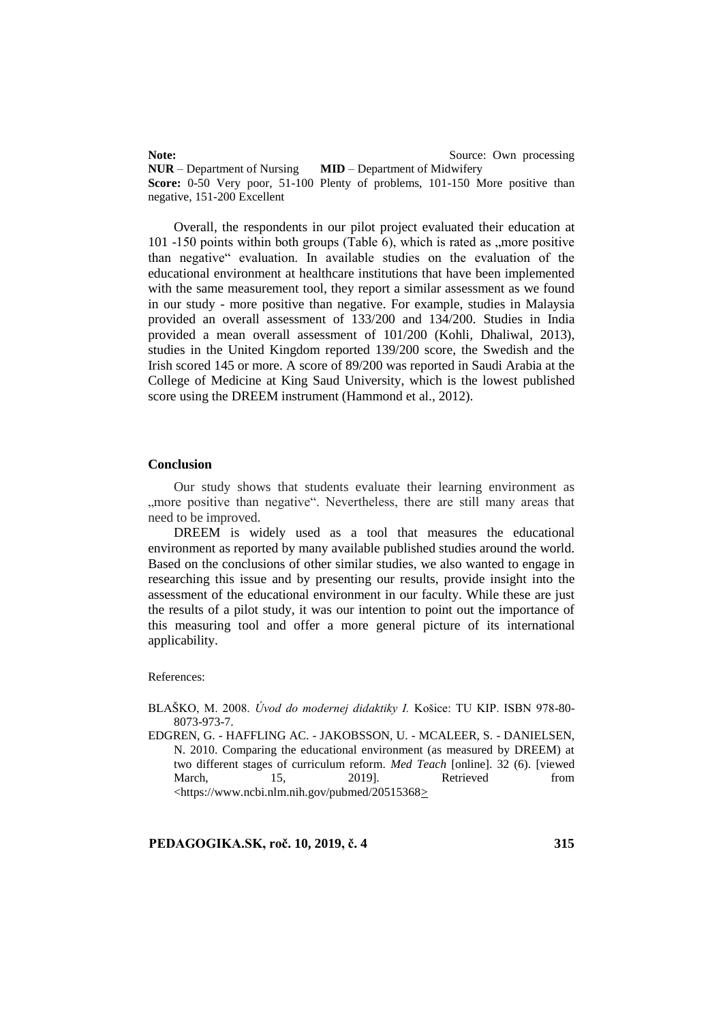**Note:** Source: Own processing **NUR** – Department of Nursing **MID** – Department of Midwifery **Score:** 0-50 Very poor, 51-100 Plenty of problems, 101-150 More positive than negative, 151-200 Excellent

Overall, the respondents in our pilot project evaluated their education at 101 -150 points within both groups (Table 6), which is rated as  $\mu$  more positive than negative" evaluation. In available studies on the evaluation of the educational environment at healthcare institutions that have been implemented with the same measurement tool, they report a similar assessment as we found in our study - more positive than negative. For example, studies in Malaysia provided an overall assessment of 133/200 and 134/200. Studies in India provided a mean overall assessment of 101/200 (Kohli, Dhaliwal, 2013), studies in the United Kingdom reported 139/200 score, the Swedish and the Irish scored 145 or more. A score of 89/200 was reported in Saudi Arabia at the College of Medicine at King Saud University, which is the lowest published score using the DREEM instrument (Hammond et al., 2012).

## **Conclusion**

Our study shows that students evaluate their learning environment as ", more positive than negative". Nevertheless, there are still many areas that need to be improved.

DREEM is widely used as a tool that measures the educational environment as reported by many available published studies around the world. Based on the conclusions of other similar studies, we also wanted to engage in researching this issue and by presenting our results, provide insight into the assessment of the educational environment in our faculty. While these are just the results of a pilot study, it was our intention to point out the importance of this measuring tool and offer a more general picture of its international applicability.

#### References:

BLAŠKO, M. 2008. *Úvod do modernej didaktiky I.* Košice: TU KIP. ISBN 978-80- 8073-973-7.

EDGREN, G. - HAFFLING AC. - JAKOBSSON, U. - MCALEER, S. - DANIELSEN, N. 2010. Comparing the educational environment (as measured by DREEM) at two different stages of curriculum reform. *Med Teach* [online]. 32 (6). [viewed March, 15, 2019]. Retrieved from <https://www.ncbi.nlm.nih.gov/pubmed/20515368>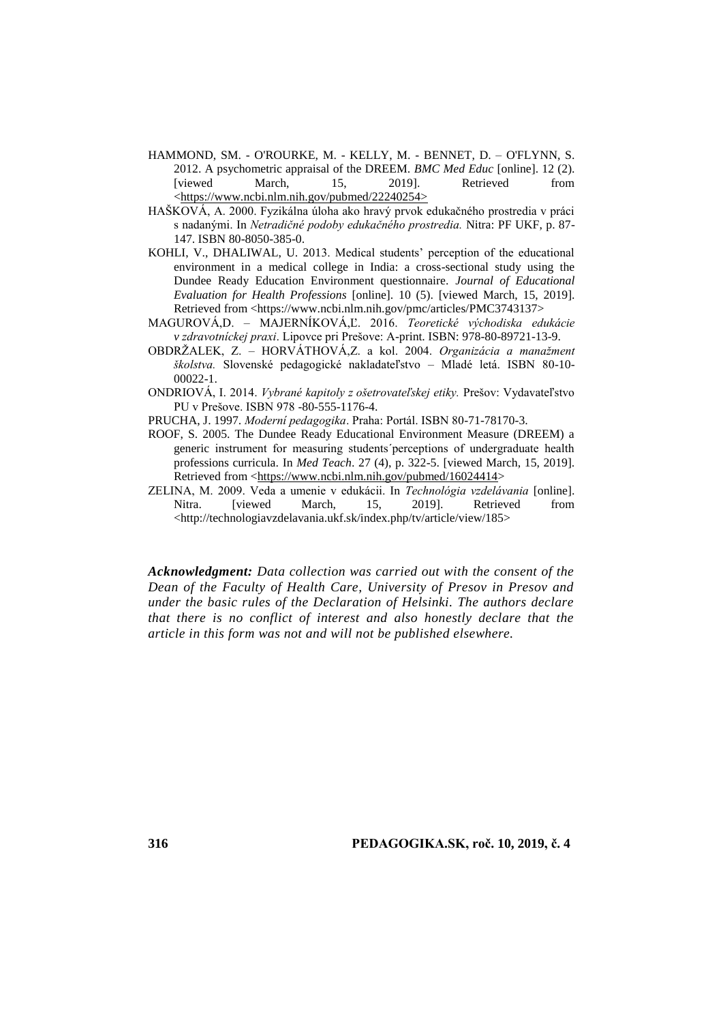- HAMMOND, SM. O'ROURKE, M. KELLY, M. BENNET, D. O'FLYNN, S. 2012. A psychometric appraisal of the DREEM. *BMC Med Educ* [online]. 12 (2). [viewed March, 15, 2019]. Retrieved from <https://www.ncbi.nlm.nih.gov/pubmed/22240254>
- HAŠKOVÁ, A. 2000. Fyzikálna úloha ako hravý prvok edukačného prostredia v práci s nadanými. In *Netradičné podoby edukačného prostredia.* Nitra: PF UKF, p. 87- 147. ISBN 80-8050-385-0.
- KOHLI, V., DHALIWAL, U. 2013. Medical students' perception of the educational environment in a medical college in India: a cross-sectional study using the Dundee Ready Education Environment questionnaire. *Journal of Educational Evaluation for Health Professions* [online]. 10 (5). [viewed March, 15, 2019]. Retrieved from <https://www.ncbi.nlm.nih.gov/pmc/articles/PMC3743137>
- MAGUROVÁ,D. MAJERNÍKOVÁ,Ľ. 2016. *Teoretické východiska edukácie v zdravotníckej praxi*. Lipovce pri Prešove: A-print. ISBN: 978-80-89721-13-9.
- OBDRŽALEK, Z. HORVÁTHOVÁ,Z. a kol. 2004. *Organizácia a manažment školstva.* Slovenské pedagogické nakladateľstvo – Mladé letá. ISBN 80-10- 00022-1.
- ONDRIOVÁ, I. 2014. *Vybrané kapitoly z ošetrovateľskej etiky.* Prešov: Vydavateľstvo PU v Prešove. ISBN 978 -80-555-1176-4.
- PRUCHA, J. 1997. *Moderní pedagogika*. Praha: Portál. ISBN 80-71-78170-3.
- ROOF, S. 2005. The Dundee Ready Educational Environment Measure (DREEM) a generic instrument for measuring students´perceptions of undergraduate health professions curricula. In *Med Teach*. 27 (4), p. 322-5. [viewed March, 15, 2019]. Retrieved from [<https://www.ncbi.nlm.nih.gov/pubmed/16024414>](https://www.ncbi.nlm.nih.gov/pubmed/16024414)
- ZELINA, M. 2009. Veda a umenie v edukácii. In *Technológia vzdelávania* [online]. Nitra. [viewed March, 15, 2019]. Retrieved from <http://technologiavzdelavania.ukf.sk/index.php/tv/article/view/185>

*Acknowledgment: Data collection was carried out with the consent of the Dean of the Faculty of Health Care, University of Presov in Presov and under the basic rules of the Declaration of Helsinki. The authors declare that there is no conflict of interest and also honestly declare that the article in this form was not and will not be published elsewhere.*